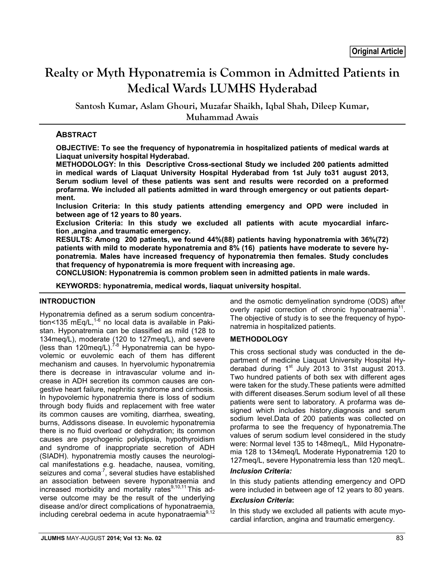# **Realty or Myth Hyponatremia is Common in Admitted Patients in Medical Wards LUMHS Hyderabad**

**Santosh Kumar, Aslam Ghouri, Muzafar Shaikh, Iqbal Shah, Dileep Kumar, Muhammad Awais**

## **ABSTRACT**

**OBJECTIVE: To see the frequency of hyponatremia in hospitalized patients of medical wards at Liaquat university hospital Hyderabad.**

**METHODOLOGY: In this Descriptive Cross-sectional Study we included 200 patients admitted in medical wards of Liaquat University Hospital Hyderabad from 1st July to31 august 2013, Serum sodium level of these patients was sent and results were recorded on a preformed profarma. We included all patients admitted in ward through emergency or out patients department.**

**Inclusion Criteria: In this study patients attending emergency and OPD were included in between age of 12 years to 80 years.**

**Exclusion Criteria: In this study we excluded all patients with acute myocardial infarction ,angina ,and traumatic emergency.**

**RESULTS: Among 200 patients, we found 44%(88) patients having hyponatremia with 36%(72) patients with mild to moderate hyponatremia and 8% (16) patients have moderate to severe hyponatremia. Males have increased frequency of hyponatremia then females. Study concludes that frequency of hyponatremia is more frequent with increasing age.**

**CONCLUSION: Hyponatremia is common problem seen in admitted patients in male wards.**

**KEYWORDS: hyponatremia, medical words, liaquat university hospital.**

#### **INTRODUCTION**

Hyponatremia defined as a serum sodium concentration<135 mEq/L, $^{1-6}$  no local data is available in Pakistan. Hyponatremia can be classified as mild (128 to 134meq/L), moderate (120 to 127meq/L), and severe (less than 120meq/L).<sup>7-8</sup> Hyponatremia can be hypovolemic or euvolemic each of them has different mechanism and causes. In hyervolumic hyponatremia there is decrease in intravascular volume and increase in ADH secretion its common causes are congestive heart failure, nephritic syndrome and cirrhosis. In hypovolemic hyponatremia there is loss of sodium through body fluids and replacement with free water its common causes are vomiting, diarrhea, sweating, burns, Addissons disease. In euvolemic hyponatremia there is no fluid overload or dehydration; its common causes are psychogenic polydipsia, hypothyroidism and syndrome of inappropriate secretion of ADH (SIADH). hyponatremia mostly causes the neurological manifestations e.g. headache, nausea, vomiting, seizures and  $coma^7$ , several studies have established an association between severe hyponatraemia and increased morbidity and mortality rates<sup>9,10,11</sup> This adverse outcome may be the result of the underlying disease and/or direct complications of hyponatraemia, including cerebral oedema in acute hyponatraemia<sup>9,12</sup>

and the osmotic demyelination syndrome (ODS) after overly rapid correction of chronic hyponatraemia<sup>11</sup>. The objective of study is to see the frequency of hyponatremia in hospitalized patients.

#### **METHODOLOGY**

This cross sectional study was conducted in the department of medicine Liaquat University Hospital Hyderabad during  $1<sup>st</sup>$  July 2013 to 31st august 2013. Two hundred patients of both sex with different ages were taken for the study.These patients were admitted with different diseases.Serum sodium level of all these patients were sent to laboratory. A profarma was designed which includes history, diagnosis and serum sodium level.Data of 200 patients was collected on profarma to see the frequency of hyponatremia.The values of serum sodium level considered in the study were: Normal level 135 to 148meq/L, Mild Hyponatremia 128 to 134meq/L Moderate Hyponatremia 120 to 127meq/L, severe Hyponatremia less than 120 meq/L.

#### *Inclusion Criteria:*

In this study patients attending emergency and OPD were included in between age of 12 years to 80 years.

#### *Exclusion Criteria***:**

In this study we excluded all patients with acute myocardial infarction, angina and traumatic emergency.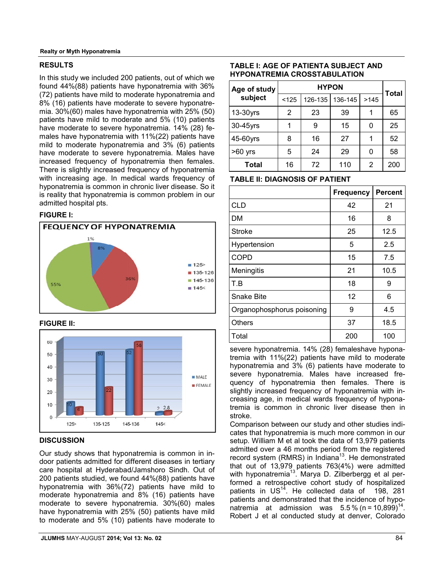## **RESULTS**

In this study we included 200 patients, out of which we found 44%(88) patients have hyponatremia with 36% (72) patients have mild to moderate hyponatremia and 8% (16) patients have moderate to severe hyponatremia. 30%(60) males have hyponatremia with 25% (50) patients have mild to moderate and 5% (10) patients have moderate to severe hyponatremia. 14% (28) females have hyponatremia with 11%(22) patients have mild to moderate hyponatremia and 3% (6) patients have moderate to severe hyponatremia. Males have increased frequency of hyponatremia then females. There is slightly increased frequency of hyponatremia with increasing age. In medical wards frequency of hyponatremia is common in chronic liver disease. So it is reality that hyponatremia is common problem in our admitted hospital pts.

## **FIGURE I:**



#### **FIGURE II:**



## **DISCUSSION**

Our study shows that hyponatremia is common in indoor patients admitted for different diseases in tertiary care hospital at Hyderabad/Jamshoro Sindh. Out of 200 patients studied, we found 44%(88) patients have hyponatremia with 36%(72) patients have mild to moderate hyponatremia and 8% (16) patients have moderate to severe hyponatremia. 30%(60) males have hyponatremia with 25% (50) patients have mild to moderate and 5% (10) patients have moderate to

## $\left| \right|$  126-135 136-145 >145 **Age of study subject**

| Total    | 16 | 72 | 110 | 2 | 200 |
|----------|----|----|-----|---|-----|
| >60 yrs  | 5  | 24 | 29  | 0 | 58  |
| 45-60yrs | 8  | 16 | 27  |   | 52  |
| 30-45yrs |    | 9  | 15  |   | 25  |
| 13-30yrs | 2  | 23 | 39  |   | 65  |
|          |    |    |     |   |     |

**HYPON**

**Total** 

**TABLE I: AGE OF PATIENTA SUBJECT AND HYPONATREMIA CROSSTABULATION**

**TABLE II: DIAGNOSIS OF PATIENT**

|                            | <b>Frequency</b> | <b>Percent</b> |
|----------------------------|------------------|----------------|
| <b>CLD</b>                 | 42               | 21             |
| DМ                         | 16               | 8              |
| <b>Stroke</b>              | 25               | 12.5           |
| Hypertension               | 5                | 2.5            |
| <b>COPD</b>                | 15               | 7.5            |
| Meningitis                 | 21               | 10.5           |
| T.B                        | 18               | 9              |
| <b>Snake Bite</b>          | 12               | 6              |
| Organophosphorus poisoning | 9                | 4.5            |
| <b>Others</b>              | 37               | 18.5           |
| Total                      | 200              | 100            |

severe hyponatremia. 14% (28) femaleshave hyponatremia with 11%(22) patients have mild to moderate hyponatremia and 3% (6) patients have moderate to severe hyponatremia. Males have increased frequency of hyponatremia then females. There is slightly increased frequency of hyponatremia with increasing age, in medical wards frequency of hyponatremia is common in chronic liver disease then in stroke.

Comparison between our study and other studies indicates that hyponatremia is much more common in our setup. William M et al took the data of 13,979 patients admitted over a 46 months period from the registered record system (RMRS) in Indiana<sup>13</sup>. He demonstrated that out of 13,979 patients 763(4%) were admitted with hyponatremia<sup>13</sup>. Marya D. Zilberbergg et al performed a retrospective cohort study of hospitalized patients in US<sup>14</sup>. He collected data of 198, 281 patients and demonstrated that the incidence of hyponatremia at admission was  $5.5\%$  (n = 10,899)<sup>14</sup>. Robert J et al conducted study at denver, Colorado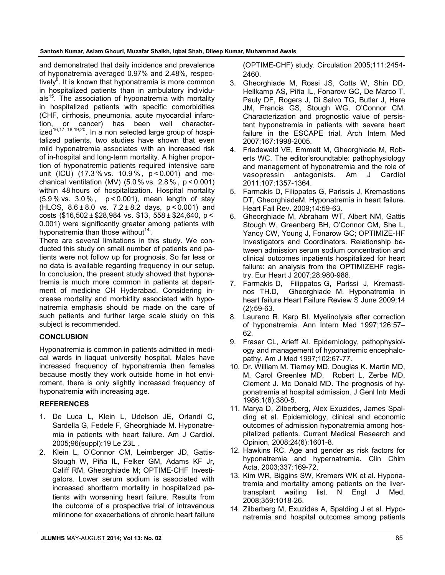and demonstrated that daily incidence and prevalence of hyponatremia averaged 0.97% and 2.48%, respectively<sup>8</sup>. It is known that hyponatremia is more common in hospitalized patients than in ambulatory individu $als<sup>15</sup>$ . The association of hyponatremia with mortality in hospitalized patients with specific comorbidities (CHF, cirrhosis, pneumonia, acute myocardial infarchas been well characterized<sup>16,17, 18,19,20</sup>. In a non selected large group of hospitalized patients, two studies have shown that even mild hyponatremia associates with an increased risk of in-hospital and long-term mortality. A higher proportion of hyponatremic patients required intensive care unit (ICU) (17.3 % vs. 10.9 % , p < 0.001) and mechanical ventilation (MV) (5.0 % vs. 2.8 % , p < 0.001) within 48 hours of hospitalization. Hospital mortality (5.9 % vs. 3.0 % , p < 0.001), mean length of stay (HLOS, 8.6 ± 8.0 vs. 7.2 ± 8.2 days, p < 0.001) and costs (\$16,502 ± \$28,984 vs. \$13, 558 ± \$24,640, p <  0.001) were significantly greater among patients with hyponatremia than those without<sup>14.</sup>.

There are several limitations in this study. We conducted this study on small number of patients and patients were not follow up for prognosis. So far less or no data is available regarding frequency in our setup. In conclusion, the present study showed that hyponatremia is much more common in patients at department of medicine CH Hyderabad. Considering increase mortality and morbidity associated with hyponatremia emphasis should be made on the care of such patients and further large scale study on this subject is recommended.

# **CONCLUSION**

Hyponatremia is common in patients admitted in medical wards in liaquat university hospital. Males have increased frequency of hyponatremia then females because mostly they work outside home in hot enviroment, there is only slightly increased frequency of hyponatremia with increasing age.

# **REFERENCES**

- 1. De Luca L, Klein L, Udelson JE, Orlandi C, Sardella G, Fedele F, Gheorghiade M. Hyponatremia in patients with heart failure. Am J Cardiol. 2005;96(suppl):19 Le 23L .
- 2. Klein L, O'Connor CM, Leimberger JD, Gattis-Stough W, Piña IL, Felker GM, Adams KF Jr, Califf RM, Gheorghiade M; OPTIME-CHF Investigators. Lower serum sodium is associated with increased shortterm mortality in hospitalized patients with worsening heart failure. Results from the outcome of a prospective trial of intravenous milrinone for exacerbations of chronic heart failure

(OPTIME-CHF) study. Circulation 2005;111:2454- 2460.

- 3. Gheorghiade M, Rossi JS, Cotts W, Shin DD, Hellkamp AS, Piña IL, Fonarow GC, De Marco T, Pauly DF, Rogers J, Di Salvo TG, Butler J, Hare JM, Francis GS, Stough WG, O'Connor CM. Characterization and prognostic value of persistent hyponatremia in patients with severe heart failure in the ESCAPE trial. Arch Intern Med 2007;167:1998-2005.
- 4. Friedewald VE, Emmett M, Gheorghiade M, Roberts WC. The editor'sroundtable: pathophysiology and management of hyponatremia and the role of vasopressin antagonists. Am J Cardiol 2011;107:1357-1364.
- 5. Farmakis D, Filippatos G, Parissis J, Kremastions DT, GheorghiadeM. Hyponatremia in heart failure. Heart Fail Rev. 2009;14:59-63.
- 6. Gheorghiade M, Abraham WT, Albert NM, Gattis Stough W, Greenberg BH, O'Connor CM, She L, Yancy CW, Young J, Fonarow GC; OPTIMIZE-HF Investigators and Coordinators. Relationship between admission serum sodium concentration and clinical outcomes inpatients hospitalized for heart failure: an analysis from the OPTIMIZEHF registry. Eur Heart J 2007;28:980-988.
- 7. Farmakis D, Filippatos G, Parissi J, Kremastinos TH.D, Gheorghiade M. Hyponatremia in heart failure Heart Failure Review S June 2009;14 (2):59-63.
- 8. Laureno R, Karp BI. Myelinolysis after correction of hyponatremia. Ann Intern Med 1997;126:57– 62.
- 9. Fraser CL, Arieff AI. Epidemiology, pathophysiology and management of hyponatremic encephalopathy. Am J Med 1997;102:67-77.
- 10. Dr. William M. Tierney MD, Douglas K. Martin MD, M. Carol Greenlee MD, Robert L. Zerbe MD, Clement J. Mc Donald MD. The prognosis of hyponatremia at hospital admission. J Genl Intr Medi 1986;1(6):380-5.
- 11. Marya D, Zilberberg, Alex Exuzides, James Spalding et al. Epidemiology, clinical and economic outcomes of admission hyponatremia among hospitalized patients. Current Medical Research and Opinion, 2008;24(6):1601-8.
- 12. Hawkins RC. Age and gender as risk factors for hyponatremia and hypernatremia. Clin Chim Acta. 2003;337:169-72.
- 13. Kim WR, Biggins SW, Kremers WK et al. Hyponatremia and mortality among patients on the livertransplant waiting list. N Engl J Med. 2008;359:1018-26.
- 14. Zilberberg M, Exuzides A, Spalding J et al. Hyponatremia and hospital outcomes among patients